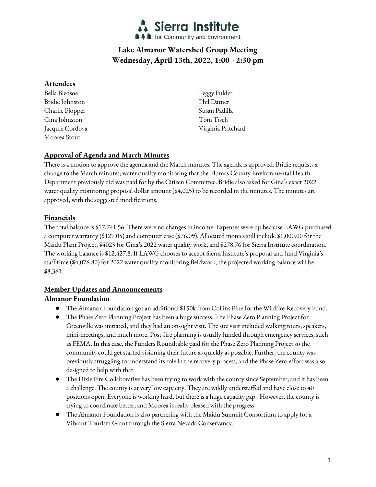

# **Lake Almanor Watershed Group Meeting Wednesday, April 13th, 2022, 1:00 - 2:30 pm**

#### **Attendees**

Bella Bledsoe Bridie Johnston Charlie Plopper Gina Johnston Jacquie Cordova Moorea Stout

Peggy Fulder Phil Datner Susan Padilla Tom Tisch Virginia Pritchard

## **Approval of Agenda and March Minutes**

There is a motion to approve the agenda and the March minutes. The agenda is approved. Bridie requests a change to the March minutes; water quality monitoring that the Plumas County Environmental Health Department previously did was paid for by the Citizen Committee. Bridie also asked for Gina's exact 2022 water quality monitoring proposal dollar amount (\$4,025) to be recorded in the minutes. The minutes are approved, with the suggested modifications.

## **Financials**

The total balance is \$17,741.56. There were no changes in income. Expenses were up because LAWG purchased a computer warranty (\$127.05) and computer case (\$76.09). Allocated monies still include \$1,000.00 for the Maidu Plant Project, \$4025 for Gina's 2022 water quality work, and \$278.76 for Sierra Institute coordination. The working balance is \$12,427.8. If LAWG chooses to accept Sierra Institute's proposal and fund Virginia's staff time (\$4,076.80) for 2022 water quality monitoring fieldwork, the projected working balance will be \$8,361.

### **Member Updates and Announcements**

### **Almanor Foundation**

- The Almanor Foundation got an additional \$150k from Collins Pine for the Wildfire Recovery Fund.
- The Phase Zero Planning Project has been a huge success. The Phase Zero Planning Project for Greenville was initiated, and they had an on-sight visit. The site visit included walking tours, speakers, mini-meetings, and much more. Post-fire planning is usually funded through emergency services, such as FEMA. In this case, the Funders Roundtable paid for the Phase Zero Planning Project so the community could get started visioning their future as quickly as possible. Further, the county was previously struggling to understand its role in the recovery process, and the Phase Zero effort was also designed to help with that.
- The Dixie Fire Collaborative has been trying to work with the county since September, and it has been a challenge. The county is at very low capacity. They are wildly understaffed and have close to 40 positions open. Everyone is working hard, but there is a huge capacity gap. However, the county is trying to coordinate better, and Moorea is really pleased with the progress.
- The Almanor Foundation is also partnering with the Maidu Summit Consortium to apply for a Vibrant Tourism Grant through the Sierra Nevada Conservancy.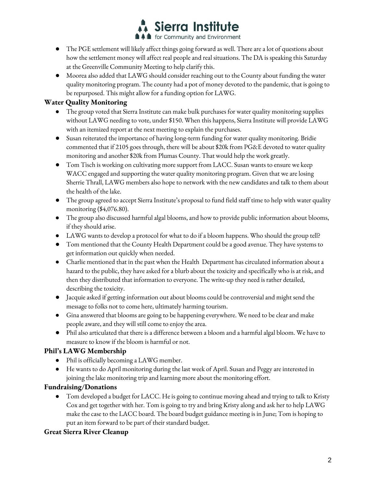

- The PGE settlement will likely affect things going forward as well. There are a lot of questions about how the settlement money will affect real people and real situations. The DA is speaking this Saturday at the Greenville Community Meeting to help clarify this.
- Moorea also added that LAWG should consider reaching out to the County about funding the water quality monitoring program. The county had a pot of money devoted to the pandemic, that is going to be repurposed. This might allow for a funding option for LAWG.

# **Water Quality Monitoring**

- The group voted that Sierra Institute can make bulk purchases for water quality monitoring supplies without LAWG needing to vote, under \$150. When this happens, Sierra Institute will provide LAWG with an itemized report at the next meeting to explain the purchases.
- Susan reiterated the importance of having long-term funding for water quality monitoring. Bridie commented that if 2105 goes through, there will be about \$20k from PG&E devoted to water quality monitoring and another \$20k from Plumas County. That would help the work greatly.
- Tom Tisch is working on cultivating more support from LACC. Susan wants to ensure we keep WACC engaged and supporting the water quality monitoring program. Given that we are losing Sherrie Thrall, LAWG members also hope to network with the new candidates and talk to them about the health of the lake.
- The group agreed to accept Sierra Institute's proposal to fund field staff time to help with water quality monitoring (\$4,076.80).
- The group also discussed harmful algal blooms, and how to provide public information about blooms, if they should arise.
- LAWG wants to develop a protocol for what to do if a bloom happens. Who should the group tell?
- Tom mentioned that the County Health Department could be a good avenue. They have systems to get information out quickly when needed.
- Charlie mentioned that in the past when the Health Department has circulated information about a hazard to the public, they have asked for a blurb about the toxicity and specifically who is at risk, and then they distributed that information to everyone. The write-up they need is rather detailed, describing the toxicity.
- Jacquie asked if getting information out about blooms could be controversial and might send the message to folks not to come here, ultimately harming tourism.
- Gina answered that blooms are going to be happening everywhere. We need to be clear and make people aware, and they will still come to enjoy the area.
- Phil also articulated that there is a difference between a bloom and a harmful algal bloom. We have to measure to know if the bloom is harmful or not.

### **Phil's LAWG Membership**

- Phil is officially becoming a LAWG member.
- He wants to do April monitoring during the last week of April. Susan and Peggy are interested in joining the lake monitoring trip and learning more about the monitoring effort.

# **Fundraising/Donations**

● Tom developed a budget for LACC. He is going to continue moving ahead and trying to talk to Kristy Cox and get together with her. Tom is going to try and bring Kristy along and ask her to help LAWG make the case to the LACC board. The board budget guidance meeting is in June; Tom is hoping to put an item forward to be part of their standard budget.

### **Great Sierra River Cleanup**